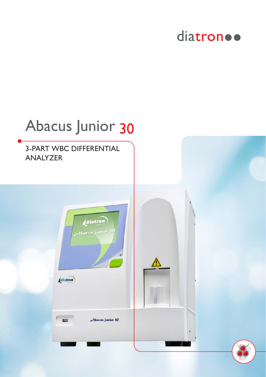### diatron ..

# Abacus Junior 303-PART WBC DIFFERENTIAL ANALYZER *Diatron* Abacus junior 30 *<u>Diatron</u>* Abacus junior 30

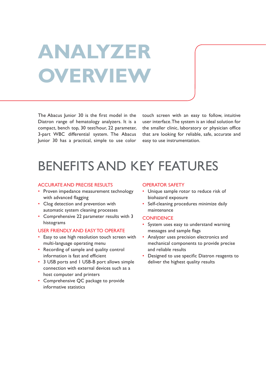# **ANALYZER OVERVIEW**

The Abacus Junior 30 is the first model in the Diatron range of hematology analyzers. It is a compact, bench top, 30 test/hour, 22 parameter, 3-part WBC differential system. The Abacus Junior 30 has a practical, simple to use color

touch screen with an easy to follow, intuitive user interface. The system is an ideal solution for the smaller clinic, laboratory or physician office that are looking for reliable, safe, accurate and easy to use instrumentation.

### BENEFITS AND KEY FEATURES

#### ACCURATE AND PRECISE RESULTS

- Proven impedance measurement technology with advanced flagging
- Clog detection and prevention with automatic system cleaning processes
- Comprehensive 22 parameter results with 3 histograms

#### USER FRIENDLY AND EASY TO OPERATE

- Easy to use high resolution touch screen with multi-language operating menu
- Recording of sample and quality control information is fast and efficient
- 3 USB ports and 1 USB-B port allows simple connection with external devices such as a host computer and printers
- Comprehensive QC package to provide informative statistics

#### OPERATOR SAFETY

- Unique sample rotor to reduce risk of biohazard exposure
- Self-cleaning procedures minimize daily maintenance

#### **CONFIDENCE**

- System uses easy to understand warning messages and sample flags
- Analyzer uses precision electronics and mechanical components to provide precise and reliable results
- Designed to use specific Diatron reagents to deliver the highest quality results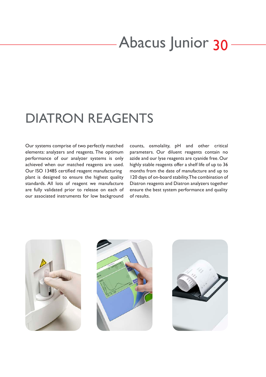### Abacus Junior 30

### DIATRON REAGENTS

Our systems comprise of two perfectly matched elements: analyzers and reagents. The optimum performance of our analyzer systems is only achieved when our matched reagents are used. Our ISO 13485 certified reagent manufacturing plant is designed to ensure the highest quality standards. All lots of reagent we manufacture are fully validated prior to release on each of our associated instruments for low background

counts, osmolality, pH and other critical parameters. Our diluent reagents contain no azide and our lyse reagents are cyanide free. Our highly stable reagents offer a shelf life of up to 36 months from the date of manufacture and up to 120 days of on-board stability. The combination of Diatron reagents and Diatron analyzers together ensure the best system performance and quality of results.